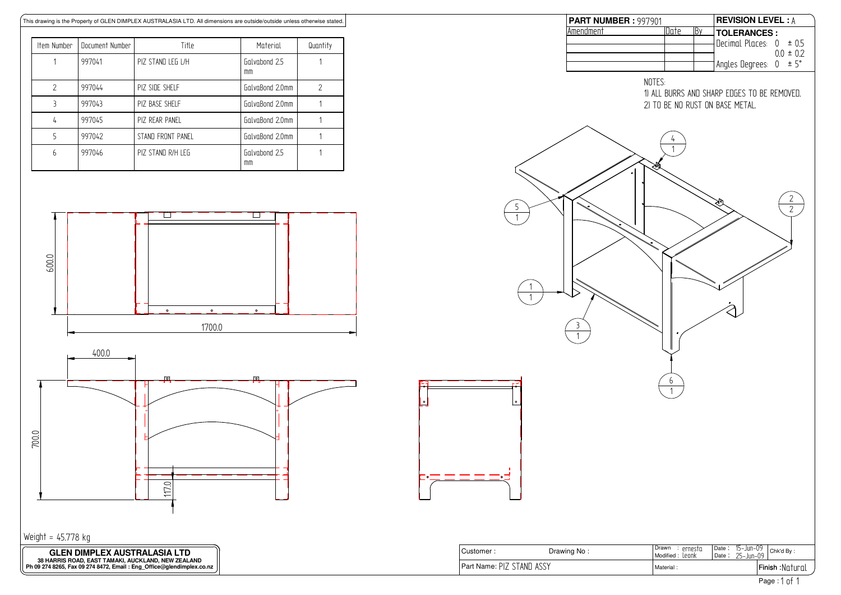

| PART NUMBER: 997901                                           |                                    |    |                                                                                      | <b>REVISION LEVEL: A</b> |  |
|---------------------------------------------------------------|------------------------------------|----|--------------------------------------------------------------------------------------|--------------------------|--|
| Amendment                                                     | Date                               | By | <b>TOLERANCES:</b>                                                                   |                          |  |
|                                                               |                                    |    | Decimal Places: $0 \pm 0.5$                                                          |                          |  |
|                                                               |                                    |    |                                                                                      | $0.0 \pm 0.2$            |  |
|                                                               |                                    |    | Angles Degrees: 0                                                                    | ± 5°                     |  |
|                                                               |                                    |    |                                                                                      |                          |  |
| NOTES:<br>≋≲<br>5<br>$\mathbf{1}$<br>1<br>$\overline{3}$<br>1 | 4<br>$\overline{1}$                |    | 1) ALL BURRS AND SHARP EDGES TO BE REMOVED.<br>2) TO BE NO RUST ON BASE METAL.<br>Я, | $rac{2}{2}$              |  |
| $\bullet$                                                     | $6 \overline{}$<br>$\overline{1}$  |    |                                                                                      |                          |  |
| ۰                                                             |                                    |    |                                                                                      |                          |  |
| Drawing No:                                                   | Drawn : ernesta<br>Modified: Leonk |    | $15 - Jun - 09$<br>$\overline{Date}$ :<br>25-Jun-09<br>Date:                         | Chk'd By:                |  |